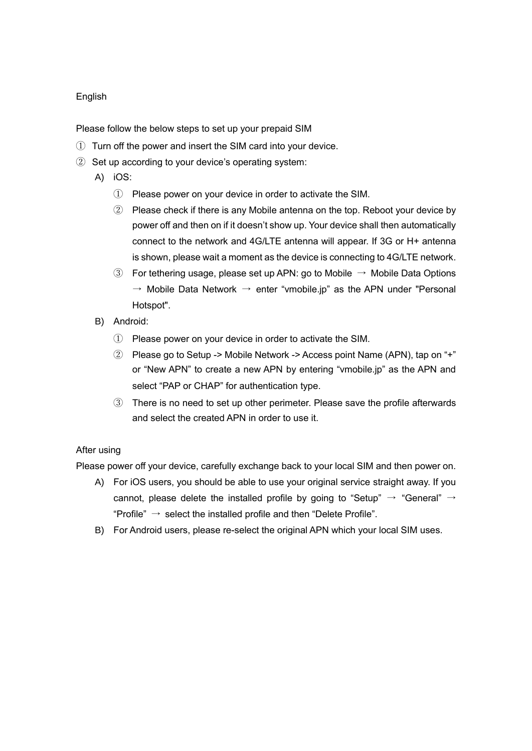## English

Please follow the below steps to set up your prepaid SIM

- ① Turn off the power and insert the SIM card into your device.
- ② Set up according to your device's operating system:
	- A) iOS:
		- ① Please power on your device in order to activate the SIM.
		- ② Please check if there is any Mobile antenna on the top. Reboot your device by power off and then on if it doesn't show up. Your device shall then automatically connect to the network and 4G/LTE antenna will appear. If 3G or H+ antenna is shown, please wait a moment as the device is connecting to 4G/LTE network.
		- ③ For tethering usage, please set up APN: go to Mobile → Mobile Data Options  $\rightarrow$  Mobile Data Network  $\rightarrow$  enter "vmobile.jp" as the APN under "Personal Hotspot".
	- B) Android:
		- $\Omega$  Please power on your device in order to activate the SIM.
		- ② Please go to Setup -> Mobile Network -> Access point Name (APN), tap on "+" or "New APN" to create a new APN by entering "vmobile.jp" as the APN and select "PAP or CHAP" for authentication type.
		- ③ There is no need to set up other perimeter. Please save the profile afterwards and select the created APN in order to use it.

## After using

Please power off your device, carefully exchange back to your local SIM and then power on.

- A) For iOS users, you should be able to use your original service straight away. If you cannot, please delete the installed profile by going to "Setup"  $\rightarrow$  "General"  $\rightarrow$ "Profile"  $\rightarrow$  select the installed profile and then "Delete Profile".
- B) For Android users, please re-select the original APN which your local SIM uses.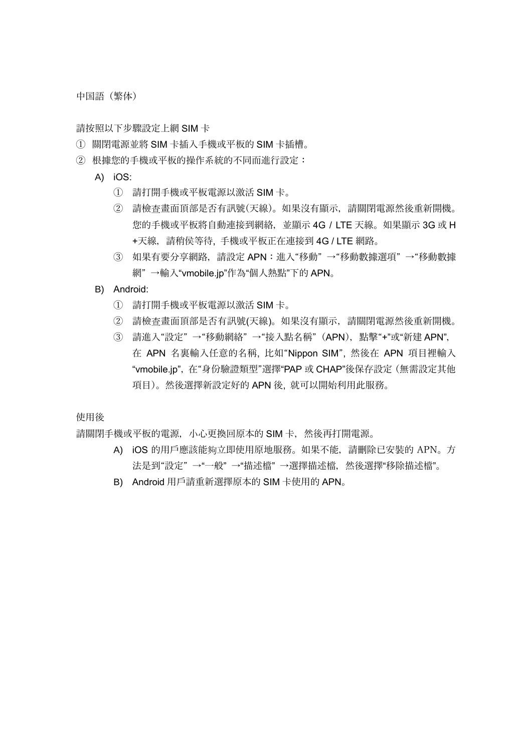中国語(繁体)

請按照以下步驟設定上網 SIM 卡

- ① 關閉電源並將 SIM 卡插入手機或平板的 SIM 卡插槽。
- ② 根據您的手機或平板的操作系統的不同而進行設定:
	- A) iOS:
		- ① 請打開手機或平板電源以激活 SIM 卡。
		- ② 請檢查畫面頂部是否有訊號(天線)。如果沒有顯示,請關閉電源然後重新開機。 您的手機或平板將自動連接到網絡,並顯示 4G / LTE 天線。如果顯示 3G 或 H +天線,請稍侯等待, 手機或平板正在連接到 4G / LTE 網路。
		- ③ 如果有要分享網路,請設定 APN:進入"移動" →"移動數據選項" →"移動數據 網" →輸入"vmobile.jp"作為"個人熱點"下的 APN。
	- B) Android:
		- ① 請打開手機或平板電源以激活 SIM 卡。
		- ② 請檢查畫面頂部是否有訊號(天線)。如果沒有顯示,請關閉電源然後重新開機。
		- ③ 請進入"設定" →"移動網絡" →"接入點名稱"(APN),點擊"+"或"新建 APN", 在 APN 名裏輸入任意的名稱, 比如"Nippon SIM", 然後在 APN 項目裡輸入 "vmobile.jp",在"身份驗證類型"選擇"PAP 或 CHAP"後保存設定(無需設定其他 項目)。然後選擇新設定好的 APN 後, 就可以開始利用此服務。

使用後

請關閉手機或平板的電源,小心更換回原本的 SIM 卡, 然後再打開電源。

- A) iOS 的用戶應該能夠立即使用原地服務。如果不能,請刪除已安裝的 APN。方 法是到"設定" →"一般" →"描述檔" →選擇描述檔,然後選擇"移除描述檔"。
- B) Android 用戶請重新選擇原本的 SIM 卡使用的 APN。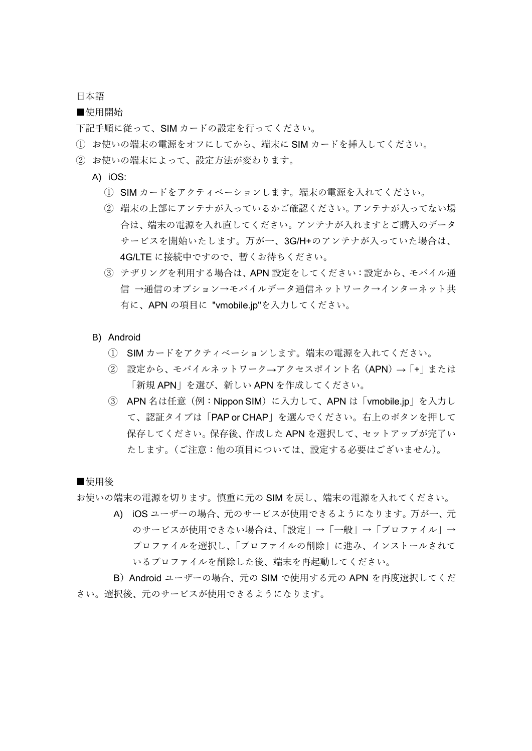日本語

■使用開始

下記手順に従って、SIM カードの設定を行ってください。

- ① お使いの端末の電源をオフにしてから、端末に SIM カードを挿入してください。
- ② お使いの端末によって、設定方法が変わります。
	- A) iOS:
		- ① SIM カードをアクティベーションします。端末の電源を入れてください。
		- ② 端末の上部にアンテナが入っているかご確認ください。アンテナが入ってない場 合は、端末の電源を入れ直してください。アンテナが入れますとご購入のデータ サービスを開始いたします。万が一、3G/H+のアンテナが入っていた場合は、 4G/LTE に接続中ですので、暫くお待ちください。
		- ③ テザリングを利用する場合は、APN 設定をしてください:設定から、モバイル通 信 →通信のオプション→モバイルデータ通信ネットワーク→インターネット共 有に、APN の項目に "vmobile.jp"を入力してください。
	- B) Android
		- ① SIM カードをアクティベーションします。端末の電源を入れてください。
		- ② 設定から、モバイルネットワーク→アクセスポイント名(APN)→「+」または 「新規 APN」を選び、新しい APN を作成してください。
		- ③ APN 名は任意(例:Nippon SIM)に入力して、APN は「vmobile.jp」を入力し て、認証タイプは「PAP or CHAP」を選んでください。右上のボタンを押して 保存してください。保存後、作成した APN を選択して、セットアップが完了い たします。(ご注意:他の項目については、設定する必要はございません)。

■使用後

お使いの端末の電源を切ります。慎重に元の SIM を戻し、端末の電源を入れてください。

A) iOS ユーザーの場合、元のサービスが使用できるようになります。万が一、元 のサービスが使用できない場合は、「設定」→「一般」→「プロファイル」→ プロファイルを選択し、「プロファイルの削除」に進み、インストールされて いるプロファイルを削除した後、端末を再起動してください。

B)Android ユーザーの場合、元の SIM で使用する元の APN を再度選択してくだ さい。選択後、元のサービスが使用できるようになります。